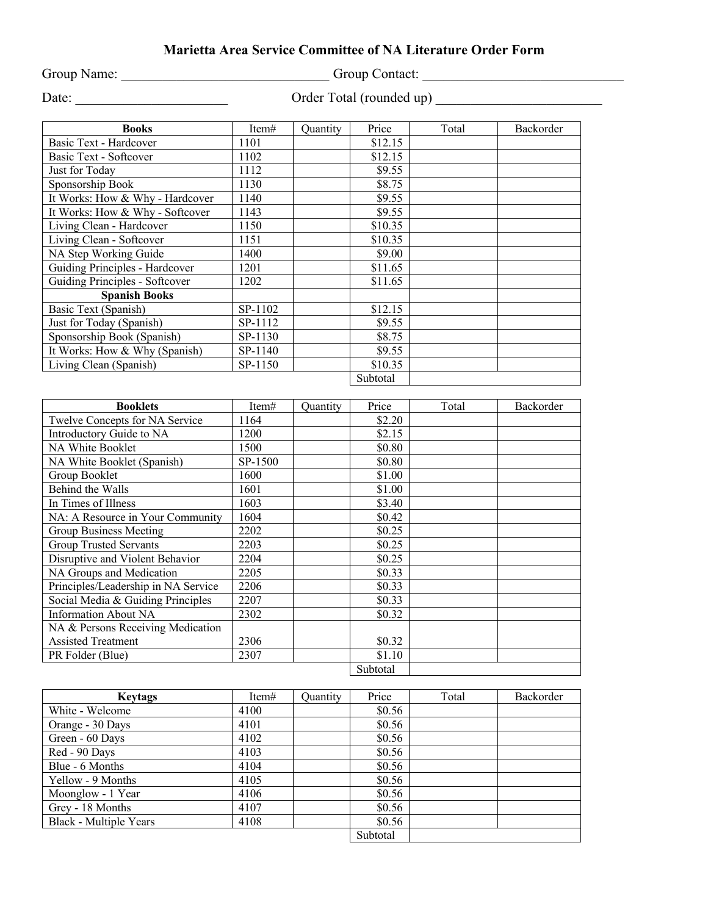## **Marietta Area Service Committee of NA Literature Order Form**

Group Name: \_\_\_\_\_\_\_\_\_\_\_\_\_\_\_\_\_\_\_\_\_\_\_\_\_\_\_\_\_\_\_\_\_\_Group Contact: \_\_\_\_\_\_\_\_\_\_\_\_\_\_\_\_\_\_\_\_

Date: \_\_\_\_\_\_\_\_\_\_\_\_\_\_\_\_\_\_\_\_\_\_ Order Total (rounded up) \_\_\_\_\_\_\_\_\_\_\_\_\_\_\_\_\_\_\_\_\_\_\_\_

| <b>Books</b>                    | Item#   | <b>Quantity</b> | Price    | Total | Backorder |
|---------------------------------|---------|-----------------|----------|-------|-----------|
| Basic Text - Hardcover          | 1101    |                 | \$12.15  |       |           |
| Basic Text - Softcover          | 1102    |                 | \$12.15  |       |           |
| Just for Today                  | 1112    |                 | \$9.55   |       |           |
| Sponsorship Book                | 1130    |                 | \$8.75   |       |           |
| It Works: How & Why - Hardcover | 1140    |                 | \$9.55   |       |           |
| It Works: How & Why - Softcover | 1143    |                 | \$9.55   |       |           |
| Living Clean - Hardcover        | 1150    |                 | \$10.35  |       |           |
| Living Clean - Softcover        | 1151    |                 | \$10.35  |       |           |
| NA Step Working Guide           | 1400    |                 | \$9.00   |       |           |
| Guiding Principles - Hardcover  | 1201    |                 | \$11.65  |       |           |
| Guiding Principles - Softcover  | 1202    |                 | \$11.65  |       |           |
| <b>Spanish Books</b>            |         |                 |          |       |           |
| Basic Text (Spanish)            | SP-1102 |                 | \$12.15  |       |           |
| Just for Today (Spanish)        | SP-1112 |                 | \$9.55   |       |           |
| Sponsorship Book (Spanish)      | SP-1130 |                 | \$8.75   |       |           |
| It Works: How & Why (Spanish)   | SP-1140 |                 | \$9.55   |       |           |
| Living Clean (Spanish)          | SP-1150 |                 | \$10.35  |       |           |
|                                 |         |                 | Subtotal |       |           |

| <b>Booklets</b>                     | Item#   | <b>Quantity</b> | Price    | Total | Backorder |
|-------------------------------------|---------|-----------------|----------|-------|-----------|
| Twelve Concepts for NA Service      | 1164    |                 | \$2.20   |       |           |
| Introductory Guide to NA            | 1200    |                 | \$2.15   |       |           |
| NA White Booklet                    | 1500    |                 | \$0.80   |       |           |
| NA White Booklet (Spanish)          | SP-1500 |                 | \$0.80   |       |           |
| Group Booklet                       | 1600    |                 | \$1.00   |       |           |
| Behind the Walls                    | 1601    |                 | \$1.00   |       |           |
| In Times of Illness                 | 1603    |                 | \$3.40   |       |           |
| NA: A Resource in Your Community    | 1604    |                 | \$0.42   |       |           |
| Group Business Meeting              | 2202    |                 | \$0.25   |       |           |
| <b>Group Trusted Servants</b>       | 2203    |                 | \$0.25   |       |           |
| Disruptive and Violent Behavior     | 2204    |                 | \$0.25   |       |           |
| NA Groups and Medication            | 2205    |                 | \$0.33   |       |           |
| Principles/Leadership in NA Service | 2206    |                 | \$0.33   |       |           |
| Social Media & Guiding Principles   | 2207    |                 | \$0.33   |       |           |
| <b>Information About NA</b>         | 2302    |                 | \$0.32   |       |           |
| NA & Persons Receiving Medication   |         |                 |          |       |           |
| <b>Assisted Treatment</b>           | 2306    |                 | \$0.32   |       |           |
| PR Folder (Blue)                    | 2307    |                 | \$1.10   |       |           |
|                                     |         |                 | Subtotal |       |           |

| <b>Keytags</b>                | Item# | Quantity | Price    | Total | Backorder |
|-------------------------------|-------|----------|----------|-------|-----------|
| White - Welcome               | 4100  |          | \$0.56   |       |           |
| Orange - 30 Days              | 4101  |          | \$0.56   |       |           |
| Green - 60 Days               | 4102  |          | \$0.56   |       |           |
| Red - 90 Days                 | 4103  |          | \$0.56   |       |           |
| Blue - 6 Months               | 4104  |          | \$0.56   |       |           |
| Yellow - 9 Months             | 4105  |          | \$0.56   |       |           |
| Moonglow - 1 Year             | 4106  |          | \$0.56   |       |           |
| Grey - 18 Months              | 4107  |          | \$0.56   |       |           |
| <b>Black - Multiple Years</b> | 4108  |          | \$0.56   |       |           |
|                               |       |          | Subtotal |       |           |